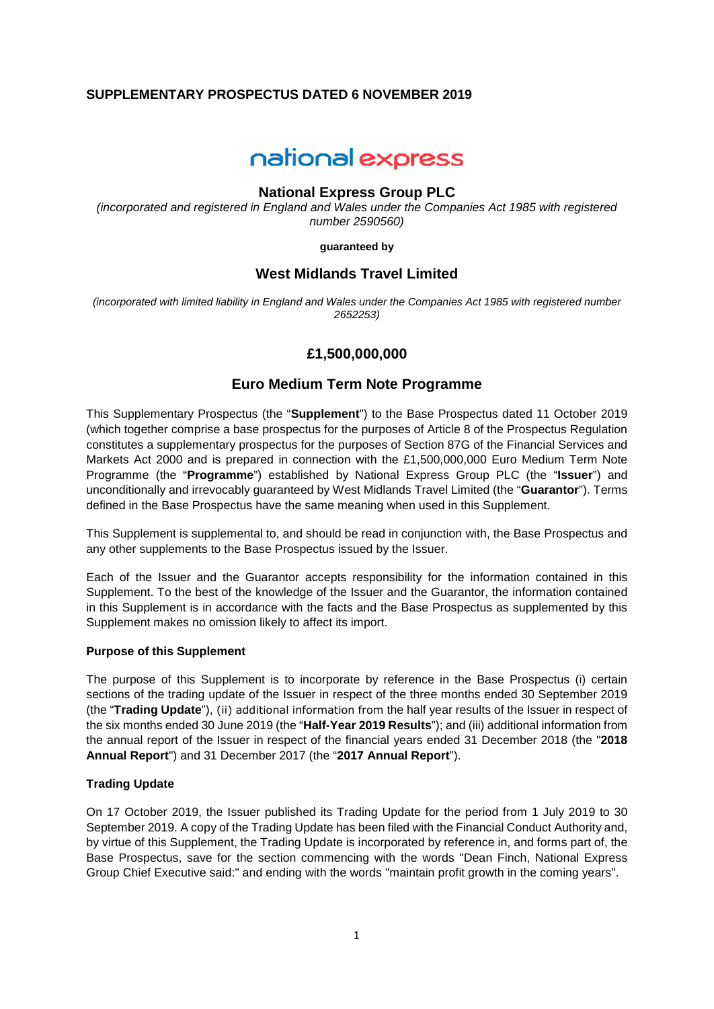## **SUPPLEMENTARY PROSPECTUS DATED 6 NOVEMBER 2019**

# national express

#### **National Express Group PLC**

*(incorporated and registered in England and Wales under the Companies Act 1985 with registered number 2590560)* 

**guaranteed by** 

## **West Midlands Travel Limited**

*(incorporated with limited liability in England and Wales under the Companies Act 1985 with registered number 2652253)* 

# **£1,500,000,000**

## **Euro Medium Term Note Programme**

This Supplementary Prospectus (the "**Supplement**") to the Base Prospectus dated 11 October 2019 (which together comprise a base prospectus for the purposes of Article 8 of the Prospectus Regulation constitutes a supplementary prospectus for the purposes of Section 87G of the Financial Services and Markets Act 2000 and is prepared in connection with the £1,500,000,000 Euro Medium Term Note Programme (the "**Programme**") established by National Express Group PLC (the "**Issuer**") and unconditionally and irrevocably guaranteed by West Midlands Travel Limited (the "**Guarantor**"). Terms defined in the Base Prospectus have the same meaning when used in this Supplement.

This Supplement is supplemental to, and should be read in conjunction with, the Base Prospectus and any other supplements to the Base Prospectus issued by the Issuer.

Each of the Issuer and the Guarantor accepts responsibility for the information contained in this Supplement. To the best of the knowledge of the Issuer and the Guarantor, the information contained in this Supplement is in accordance with the facts and the Base Prospectus as supplemented by this Supplement makes no omission likely to affect its import.

#### **Purpose of this Supplement**

The purpose of this Supplement is to incorporate by reference in the Base Prospectus (i) certain sections of the trading update of the Issuer in respect of the three months ended 30 September 2019 (the "**Trading Update**"), (ii) additional information from the half year results of the Issuer in respect of the six months ended 30 June 2019 (the "**Half-Year 2019 Results**"); and (iii) additional information from the annual report of the Issuer in respect of the financial years ended 31 December 2018 (the "**2018 Annual Report**") and 31 December 2017 (the "**2017 Annual Report**").

#### **Trading Update**

On 17 October 2019, the Issuer published its Trading Update for the period from 1 July 2019 to 30 September 2019. A copy of the Trading Update has been filed with the Financial Conduct Authority and, by virtue of this Supplement, the Trading Update is incorporated by reference in, and forms part of, the Base Prospectus, save for the section commencing with the words "Dean Finch, National Express Group Chief Executive said:" and ending with the words "maintain profit growth in the coming years".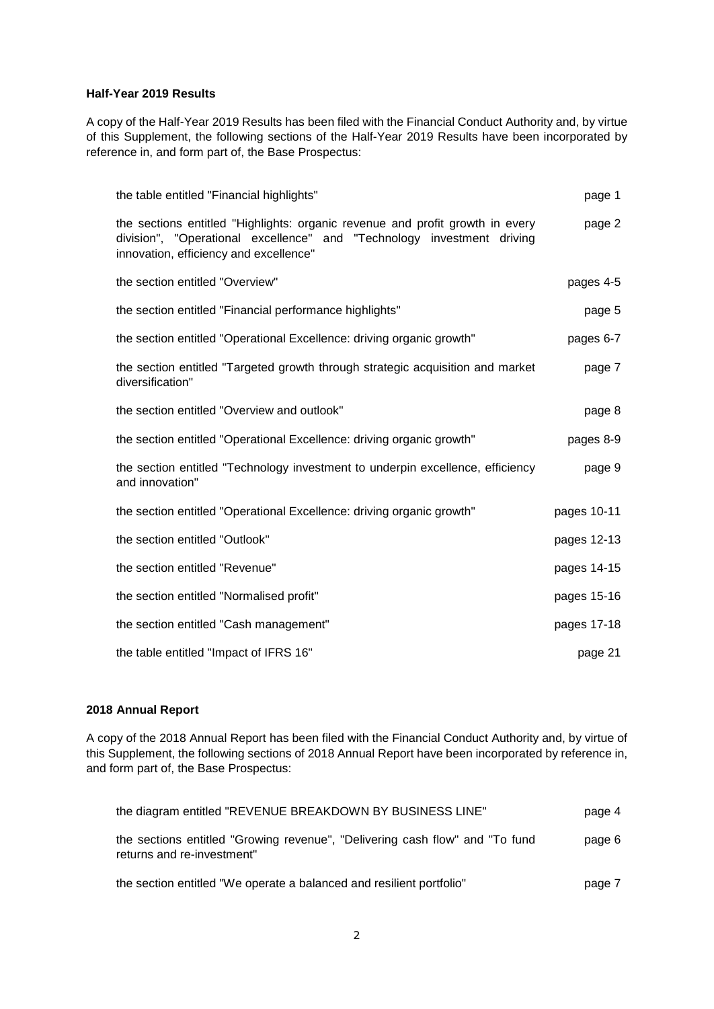#### **Half-Year 2019 Results**

A copy of the Half-Year 2019 Results has been filed with the Financial Conduct Authority and, by virtue of this Supplement, the following sections of the Half-Year 2019 Results have been incorporated by reference in, and form part of, the Base Prospectus:

| the table entitled "Financial highlights"                                                                                                                                                         | page 1      |
|---------------------------------------------------------------------------------------------------------------------------------------------------------------------------------------------------|-------------|
| the sections entitled "Highlights: organic revenue and profit growth in every<br>division", "Operational excellence" and "Technology investment driving<br>innovation, efficiency and excellence" | page 2      |
| the section entitled "Overview"                                                                                                                                                                   | pages 4-5   |
| the section entitled "Financial performance highlights"                                                                                                                                           | page 5      |
| the section entitled "Operational Excellence: driving organic growth"                                                                                                                             | pages 6-7   |
| the section entitled "Targeted growth through strategic acquisition and market<br>diversification"                                                                                                | page 7      |
| the section entitled "Overview and outlook"                                                                                                                                                       | page 8      |
| the section entitled "Operational Excellence: driving organic growth"                                                                                                                             | pages 8-9   |
| the section entitled "Technology investment to underpin excellence, efficiency<br>and innovation"                                                                                                 | page 9      |
| the section entitled "Operational Excellence: driving organic growth"                                                                                                                             | pages 10-11 |
| the section entitled "Outlook"                                                                                                                                                                    | pages 12-13 |
| the section entitled "Revenue"                                                                                                                                                                    | pages 14-15 |
| the section entitled "Normalised profit"                                                                                                                                                          | pages 15-16 |
| the section entitled "Cash management"                                                                                                                                                            | pages 17-18 |
| the table entitled "Impact of IFRS 16"                                                                                                                                                            | page 21     |

#### **2018 Annual Report**

A copy of the 2018 Annual Report has been filed with the Financial Conduct Authority and, by virtue of this Supplement, the following sections of 2018 Annual Report have been incorporated by reference in, and form part of, the Base Prospectus:

| the diagram entitled "REVENUE BREAKDOWN BY BUSINESS LINE"                                                  | page 4 |
|------------------------------------------------------------------------------------------------------------|--------|
| the sections entitled "Growing revenue", "Delivering cash flow" and "To fund<br>returns and re-investment" | page 6 |
| the section entitled "We operate a balanced and resilient portfolio"                                       | page 7 |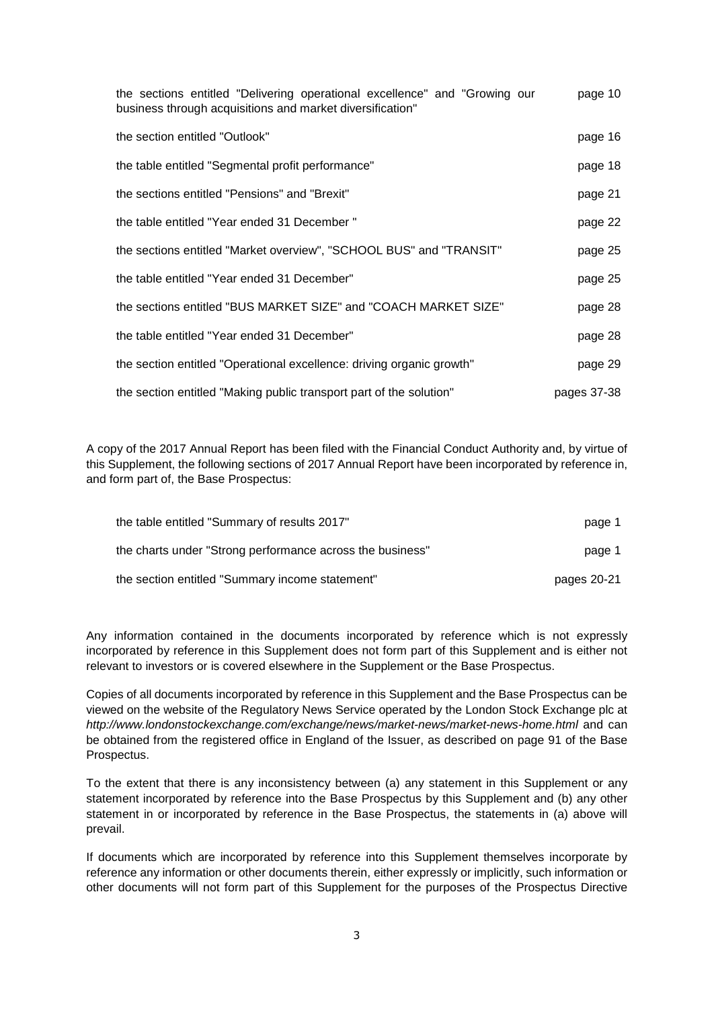| the sections entitled "Delivering operational excellence" and "Growing our<br>business through acquisitions and market diversification" | page 10     |
|-----------------------------------------------------------------------------------------------------------------------------------------|-------------|
| the section entitled "Outlook"                                                                                                          | page 16     |
| the table entitled "Segmental profit performance"                                                                                       | page 18     |
| the sections entitled "Pensions" and "Brexit"                                                                                           | page 21     |
| the table entitled "Year ended 31 December"                                                                                             | page 22     |
| the sections entitled "Market overview", "SCHOOL BUS" and "TRANSIT"                                                                     | page 25     |
| the table entitled "Year ended 31 December"                                                                                             | page 25     |
| the sections entitled "BUS MARKET SIZE" and "COACH MARKET SIZE"                                                                         | page 28     |
| the table entitled "Year ended 31 December"                                                                                             | page 28     |
| the section entitled "Operational excellence: driving organic growth"                                                                   | page 29     |
| the section entitled "Making public transport part of the solution"                                                                     | pages 37-38 |

A copy of the 2017 Annual Report has been filed with the Financial Conduct Authority and, by virtue of this Supplement, the following sections of 2017 Annual Report have been incorporated by reference in, and form part of, the Base Prospectus:

| the table entitled "Summary of results 2017"              | page 1      |
|-----------------------------------------------------------|-------------|
| the charts under "Strong performance across the business" | page 1      |
| the section entitled "Summary income statement"           | pages 20-21 |

Any information contained in the documents incorporated by reference which is not expressly incorporated by reference in this Supplement does not form part of this Supplement and is either not relevant to investors or is covered elsewhere in the Supplement or the Base Prospectus.

Copies of all documents incorporated by reference in this Supplement and the Base Prospectus can be viewed on the website of the Regulatory News Service operated by the London Stock Exchange plc at *http://www.londonstockexchange.com/exchange/news/market-news/market-news-home.html* and can be obtained from the registered office in England of the Issuer, as described on page 91 of the Base Prospectus.

To the extent that there is any inconsistency between (a) any statement in this Supplement or any statement incorporated by reference into the Base Prospectus by this Supplement and (b) any other statement in or incorporated by reference in the Base Prospectus, the statements in (a) above will prevail.

If documents which are incorporated by reference into this Supplement themselves incorporate by reference any information or other documents therein, either expressly or implicitly, such information or other documents will not form part of this Supplement for the purposes of the Prospectus Directive